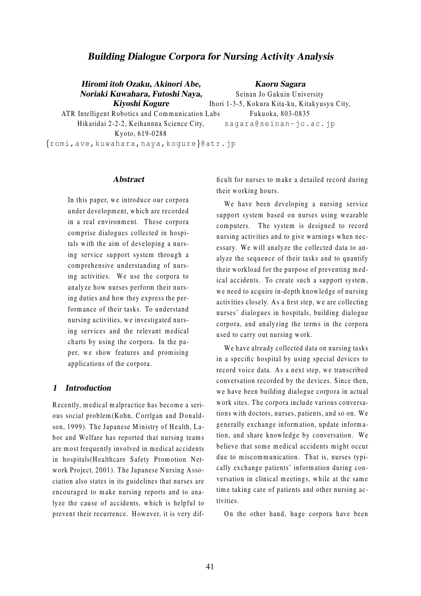# **Building Dialogue Corpora for Nursing Activity Analysis**

Hiromi itoh Ozaku, Akinori Abe, Noriaki Kuwahara, Futoshi Naya, Kiyoshi Kogure

**Kaoru Sagara** 

Seinan Jo Gakuin University Ihori 1-3-5, Kokura Kita-ku, Kitakyusyu City, ATR Intelligent Robotics and Communication Labs Fukuoka, 803-0835 sagara@seinan-jo.ac.jp

Kvoto, 619-0288 {romi, ave, kuwahara, naya, kogure}@atr.jp

Hikaridai 2-2-2, Keihannna Science City,

### **Abstract**

In this paper, we introduce our corpora under development, which are recorded in a real environment. These corpora comprise dialogues collected in hospitals with the aim of developing a nursing service support system through a comprehensive understanding of nursing activities. We use the corpora to analyze how nurses perform their nursing duties and how they express the performance of their tasks. To understand nursing activities, we investigated nursing services and the relevant medical charts by using the corpora. In the paper, we show features and promising applications of the corpora.

### 1 Introduction

Recently, medical malpractice has become a serious social problem (Kohn, Corrlgan and Donaldson, 1999). The Japanese Ministry of Health, Labor and Welfare has reported that nursing teams are most frequently involved in medical accidents in hospitals (Healthcare Safety Promotion Network Project, 2001). The Japanese Nursing Association also states in its guidelines that nurses are encouraged to make nursing reports and to analyze the cause of accidents, which is helpful to prevent their recurrence. However, it is very difficult for nurses to make a detailed record during their working hours.

We have been developing a nursing service support system based on nurses using wearable computers. The system is designed to record nursing activities and to give warnings when necessary. We will analyze the collected data to analyze the sequence of their tasks and to quantify their workload for the purpose of preventing medical accidents. To create such a support system, we need to acquire in-depth knowledge of nursing activities closely. As a first step, we are collecting nurses' dialogues in hospitals, building dialogue corpora, and analyzing the terms in the corpora used to carry out nursing work.

We have already collected data on nursing tasks in a specific hospital by using special devices to record voice data. As a next step, we transcribed conversation recorded by the devices. Since then, we have been building dialogue corpora in actual work sites. The corpora include various conversations with doctors, nurses, patients, and so on. We generally exchange information, update information, and share knowledge by conversation. We believe that some medical accidents might occur due to miscommunication. That is, nurses typically exchange patients' information during conversation in clinical meetings, while at the same time taking care of patients and other nursing activities.

On the other hand, huge corpora have been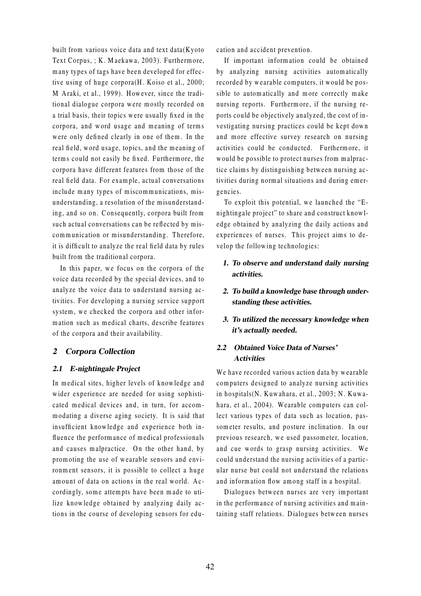built from various voice data and text data( $Kyoto$ Text Corpus, ; K. Maekawa, 2003). Furthermore, many types of tags have been developed for effective using of huge corpora $(H.$  Koiso et al., 2000; M Araki, et al., 1999). However, since the traditional dialogue corpora were mostly recorded on a trial basis, their topics were usually fixed in the corpora, and word usage and meaning of terms were only defined clearly in one of them. In the real field, word usage, topics, and the meaning of terms could not easily be fixed. Furthermore, the corpora have different features from those of the real field data. For example, actual conversations include many types of miscommunications, misunderstanding, a resolution of the misunderstanding, and so on. Consequently, corpora built from such actual conversations can be reflected by miscommunication or misunderstanding. Therefore, it is difficult to analyze the real field data by rules built from the traditional corpora.

In this paper, we focus on the corpora of the voice data recorded by the special devices, and to analyze the voice data to understand nursing activities. For developing a nursing service support system, we checked the corpora and other information such as medical charts, describe features of the corpora and their availability.

## 2 Corpora Collection

### 2.1 E-nightingale Project

In medical sites, higher levels of knowledge and wider experience are needed for using sophisticated medical devices and, in turn, for accomm odating a diverse aging society. It is said that in sufficient knowledge and experience both influence the performance of medical professionals and causes malpractice. On the other hand, by promoting the use of wearable sensors and environment sensors, it is possible to collect a huge amount of data on actions in the real world. Accordingly, some attempts have been made to utilize know ledge obtained by analyzing daily actions in the course of developing sensors for education and accident prevention.

If im portant inform ation could be obtained by analyzing nursing activities automatically recorded by wearable computers, it would be possible to autom atically and m ore correctly m ake nursing reports. Furtherm ore, if the nursing reports could be objectively analyzed, the cost of investigating nursing practices could be kept down and more effective survey research on nursing activities could be conducted. Furthermore, it would be possible to protect nurses from malpractice claim s by distinguishing betw een nursing activities during normal situations and during emergencies.

To exploit this potential, we launched the "Enightingale project" to share and con struct know ledge obtained by analyzing the daily actions and experiences of nurses. This project aims to develop the following technologies:

- 1. To observe and understand daily nursing activities.
- 2. To build a knowledge base through understanding these activities.
- 3. To utilized the necessary knowledge when it's actually needed.

## 2.2 Obtained Voice Data of Nurses' **Activities**

We have recorded various action data by wearable computers designed to analyze nursing activities in hospitals(N. Kuwahara, et al., 2003; N. Kuwahara, et al., 2004). Wearable computers can collect various types of data such as location, passometer results, and posture inclination. In our previous research, we used passometer, location, and cue words to grasp nursing activities. We could understand the nursing activities of a particular nurse but could not understand the relations and inform ation flow am ong staff in a ho spital.

Dialogues between nurses are very important in the perform ance of nursing activities and maintaining staff relations. Dialogues between nurses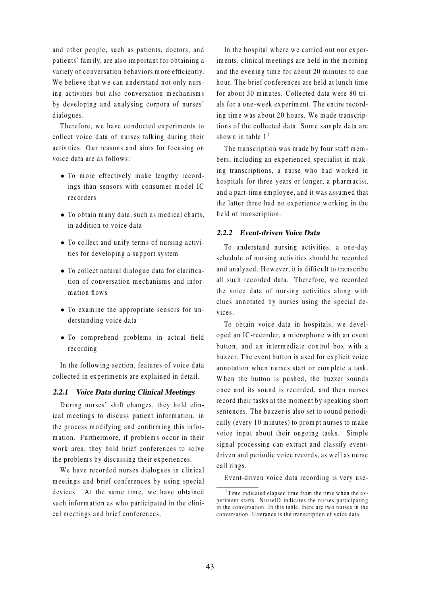and other people, such as patients, doctors, and patients' fam ily, are also im portant for obtaining a variety of conversation behaviors more efficiently. We believe that we can understand not only nursing activities but also conversation mechanisms by developing and analysing corpora of nurses' dialogues.

Therefore, we have conducted experiments to collect voice data of nurses talking during their activities. Our reasons and aims for focusing on voice data are as follows:

- To more effectively make lengthy recordings than sensors with consumer model IC recorders
- $\bullet$  To obtain many data, such as medical charts, in addition to voice data
- To collect and unify term s of nursing activities for developing a support system
- To collect natural dialogue data for clarifi cation of conversation mechanisms and inform ation flow s
- To exam ine the appropriate sen sors for understanding voice data
- To comprehend problems in actual field recording

In the following section, features of voice data collected in experim ents are explained in detail.

### 2.2.1 Voice Data during Clinical Meetings

During nurses' shift changes, they hold clinical meetings to discuss patient information, in the process modifying and confirming this information. Furthermore, if problems occur in their work area, they hold brief conferences to solve the problems by discussing their experiences.

We have recorded nurses dialogues in clinical meetings and brief conferences by using special devices. At the same time, we have obtained such information as who participated in the clinical meetings and brief conferences.

In the hospital where we carried out our experiments, clinical meetings are held in the morning and the evening time for about 20 minutes to one hour. The brief conferences are held at lunch time for about 30 minutes. Collected data were 80 trials for a one-week experiment. The entire recording time was about 20 hours. We made transcriptions of the collected data. Some sample data are shown in table  $1<sup>1</sup>$ 

The transcription was made by four staff members, including an experienced specialist in m aking transcriptions, a nurse who had worked in ho spitals for three years or longer, a pharm acist, and a part-time employee, and it was assumed that the latter three had no experience w orking in the field of transcription.

### 2.2.2 Event-driven Voice Data

To understand nursing activities, a one-day schedule of nursing activities should be recorded and analyzed. However, it is difficult to transcribe all such recorded data. Therefore, we recorded the voice data of nursing activities along with clues annotated by nurses using the special devices.

To obtain voice data in hospitals, we developed an IC-recorder, a microphone with an event button, and an interm ediate control box w ith a buzzer. The event button is used for explicit voice annotation when nurses start or complete a task. When the button is pushed, the buzzer sounds once and its sound is recorded, and then nurses record their tasks at the moment by speaking short sentences. The buzzer is also set to sound periodically (every 10 minutes) to prompt nurses to make voice input about their ongoing tasks. Simple signal processing can extract and classify eventdriven and periodic voice records, as well as nurse call rings.

Event-driven voice data recording is very use-

<sup>&</sup>lt;sup>1</sup>Time indicated elapsed time from the time when the experiment starts. NurseID indicates the nurses participating in the conversation. In this table, there are two nurses in the conversation. U tterance is the tran scription of voice data.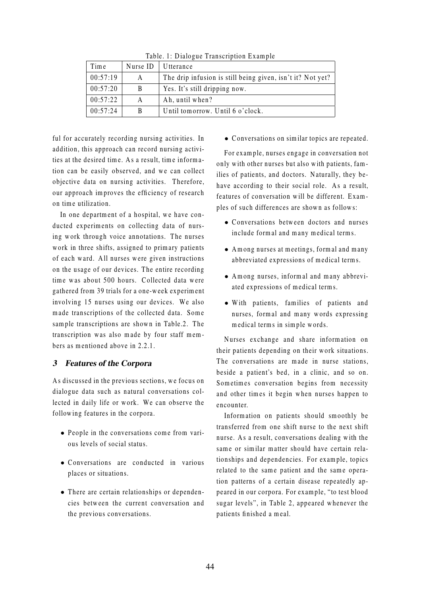| Time     | Nurse ID | Utterance                                                  |  |
|----------|----------|------------------------------------------------------------|--|
| 00:57:19 | A        | The drip infusion is still being given, isn't it? Not yet? |  |
| 00:57:20 | B        | Yes. It's still dripping now.                              |  |
| 00:57:22 | A        | Ah, until when?                                            |  |
| 00:57:24 | B        | Until tomorrow. Until 6 o'clock.                           |  |

Table. 1: Dialogue Transcription Example

ful for accurately recording nursing activities. In addition, this approach can record nursing activities at the desired time. As a result, time information can be easily observed, and we can collect objective data on nursing activities. Therefore, our approach improves the efficiency of research on tim e utilization.

In one department of a hospital, we have conducted experiments on collecting data of nursing work through voice annotations. The nurses work in three shifts, assigned to primary patients of each ward. All nurses were given instructions on the usage of our devices. The entire recording time was about 500 hours. Collected data were gathered from 39 trials for a one-w eek experim ent involving 15 nurses using our devices. We also made transcriptions of the collected data. Some sample transcriptions are shown in Table.2. The transcription was also made by four staff members as mentioned above in  $2.2.1$ .

# 3 Features of the Corpora

As discussed in the previous sections, we focus on dialogue data such as natural conversations collected in daily life or work. We can observe the following features in the corpora.

- $\bullet$  People in the conversations come from various levels of social status.
- Conversations are conducted in various places or situations.
- There are certain relationships or dependencies between the current conversation and the previous conversations.

• Conversations on similar topics are repeated.

For example, nurses engage in conversation not only with other nurses but also with patients, families of patients, and doctors. Naturally, they behave according to their social role. As a result, features of conversation will be different. Examples of such differences are shown as follows:

- Conversations between doctors and nurses include formal and many medical terms.
- A m ong nurses at meetings, form al and many abbreviated expressions of medical terms.
- Among nurses, informal and many abbreviated expressions of medical terms.
- With patients, families of patients and nurses, formal and many words expressing medical terms in simple words.

Nurses exchange and share information on their patients depending on their work situations. The conversations are made in nurse stations, be side a patient's bed, in a clinic, and so on. Sometimes conversation begins from necessity and other times it begin when nurses happen to encounter.

Inform ation on patients should sm oothly be tran sferred from one shift nurse to the next shift nurse. As a result, conversations dealing with the same or similar matter should have certain relationships and dependencies. For example, topics related to the same patient and the same operation patterns of a certain disease repeatedly appeared in our corpora. For example, "to test blood sugar levels", in Table 2, appeared w henever the patients finished a meal.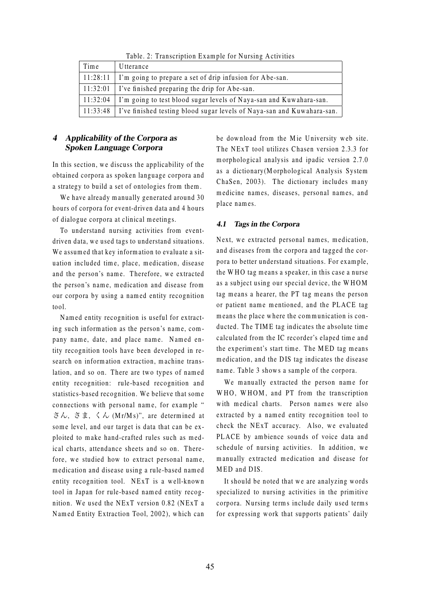| Time       | Utterance                                                                         |
|------------|-----------------------------------------------------------------------------------|
| $11:28:11$ | I'm going to prepare a set of drip infusion for Abe-san.                          |
|            | $\mid$ 11:32:01   I've finished preparing the drip for Abe-san.                   |
| 11:32:04   | I'm going to test blood sugar levels of Naya-san and Kuwahara-san.                |
|            | 11:33:48   I've finished testing blood sugar levels of Naya-san and Kuwahara-san. |

Table. 2: Transcription Example for Nursing Activities

# 4 Applicability of the Corpora as Spoken Language Corpora

In this section, we discuss the applicability of the obtained corpora as spoken language corpora and a strategy to build a set of ontologies from them.

We have already manually generated around 30 hours of corpora for event-driven data and 4 hours of dialogue corpora at clinical meetings.

To understand nursing activities from eventdriven data, we used tags to understand situations. We assumed that key information to evaluate a situation included time, place, medication, disease and the person's name. Therefore, we extracted the person's name, medication and disease from our corpora by using a named entity recognition tool.

Named entity recognition is useful for extracting such information as the person's name, company name, date, and place name. Named entity recognition tools have been developed in research on information extraction, machine translation, and so on. There are two types of named entity recognition: rule-based recognition and statistics-based recognition. We believe that some connections with personal name, for example " さん, さま, くん (Mr/Ms)", are determined at some level, and our target is data that can be exploited to make hand-crafted rules such as medical charts, attendance sheets and so on. Therefore, we studied how to extract personal name, medication and disease using a rule-based named entity recognition tool. NExT is a well-known tool in Japan for rule-ba sed nam ed entity recognition. We used the NExT version  $0.82$  (NExT a Named Entity Extraction Tool, 2002), which can

be download from the Mie University web site. The NExT tool utilizes Chasen version 2.3.3 for m orphological analy sis and ipadic version 2.7.0 as a dictionary (Morphological Analysis System ChaSen, 2003). The dictionary includes many medicine names, diseases, personal names, and place names.

## 4.1 Tags in the Corpora

Next, we extracted personal names, medication, and diseases from the corpora and tagged the corpora to better understand situations. For example, the WHO tag means a speaker, in this case a nurse as a subject using our special device, the WHOM tag means a hearer, the PT tag means the person or patient name mentioned, and the PLACE tag means the place where the communication is conducted. The TIME tag indicates the absolute time calculated from the IC recorder's elaped tim e and the experiment's start time. The MED tag means medication, and the DIS tag indicates the disease name. Table 3 shows a sample of the corpora.

We manually extracted the person name for  $W HO$ ,  $W HOM$ , and PT from the transcription with medical charts. Person names were also extracted by a nam ed entity recognition tool to check the NExT accuracy. Also, we evaluated PLACE by ambience sounds of voice data and schedule of nursing activities. In addition, we manually extracted medication and disease for M ED and DIS.

It should be noted that we are analyzing words specialized to nursing activities in the primitive corpora. Nursing terms include daily used terms for expressing work that supports patients' daily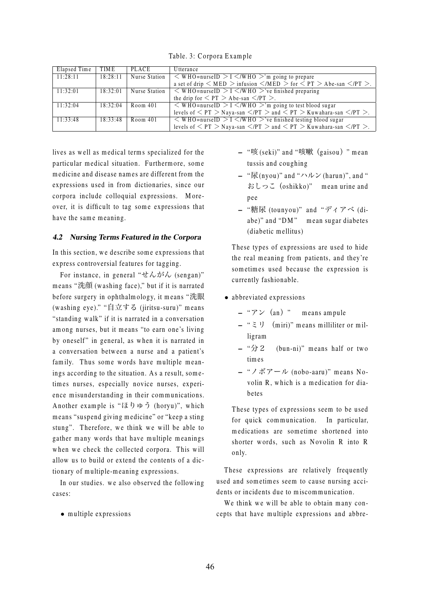Table. 3: C orpora E xam ple

| Elapsed Time | TIM E    | PLACE                | <b>U</b> tterance                                                                                                                    |
|--------------|----------|----------------------|--------------------------------------------------------------------------------------------------------------------------------------|
| 11:28:11     | 18:28:11 | Nurse Station        | $\leq$ WHO=nurseID $>$ I $\leq$ /WHO $>$ 'm going to prepare                                                                         |
|              |          |                      | a set of drip $\langle$ MED $\rangle$ infusion $\langle$ /MED $\rangle$ for $\langle$ PT $\rangle$ Abe-san $\langle$ /PT $\rangle$ . |
| 11:32:01     | 18:32:01 | <b>Nurse Station</b> | $\leq$ WHO=nurseID > I $\leq$ /WHO >'ve finished preparing                                                                           |
|              |          |                      | the drip for $\langle PT \rangle$ Abe-san $\langle PT \rangle$ .                                                                     |
| 11:32:04     | 18:32:04 | Room 401             | $\overline{\rm{y}}$ WHO=nurseID > I $\overline{\rm{y}}$ /WHO >'m going to test blood sugar                                           |
|              |          |                      | levels of $\langle PT \rangle$ Naya-san $\langle PT \rangle$ and $\langle PT \rangle$ Kuwahara-san $\langle PT \rangle$ .            |
| 11:33:48     | 18:33:48 | Room 401             | $\leq$ WHO=nurseID > I $\leq$ /WHO >'ve finished testing blood sugar                                                                 |
|              |          |                      | levels of $\langle PT \rangle$ Naya-san $\langle PT \rangle$ and $\langle PT \rangle$ Kuwahara-san $\langle PT \rangle$ .            |

lives as well as medical terms specialized for the particular medical situation. Furthermore, some medicine and disease names are different from the expressions used in from dictionaries, since our corpora include colloquial expressions. Moreover, it is difficult to tag some expressions that have the same meaning.

## 4.2 Nursing Terms Featured in the Corpora

In this section, we describe some expressions that express controversial features for tagging.

For instance, in general " $\forall k \lambda \land k$  (sengan)" means "洗顔 (washing face)," but if it is narrated before surgery in ophthalmology, it means "洗眼 (w a shing eye)." "自立する (jiritsu-suru)" m ean s " standing w alk" if it is narrated in a conversation among nurses, but it means "to earn one's living by one self" in general, as when it is narrated in a conversation betw een a nurse and a patient's family. Thus some words have multiple meanings according to the situation. As a result, sometimes nurses, especially novice nurses, experience misunderstanding in their communications. A nother exam ple is "ほりゅう (horyu)", w hich means "suspend giving medicine" or "keep a sting stung". Therefore, we think we will be able to gather many words that have multiple meanings when we check the collected corpora. This will allow us to build or extend the contents of a dictionary of multiple-meaning expressions.

In our studies, we also observed the following cases:

 $\bullet$  multiple expressions

- "咳 (seki)" and "咳嗽(gaisou)" m ean tussis and coughing
- "尿(nyou)" and "ハルン(harun)", and " おしっこ(o shikko)" m ean urine and pee
- "糖尿 (tounyou)" and "ディアベ (diabe)" and "DM" mean sugar diabetes (diabetic mellitus)

These types of expressions are used to hide the real meaning from patients, and they're sometimes used because the expression is currently fashionable.

- abbreviated expressions
	- $-$  " $\mathcal{F}$   $\vee$  (an)" means ampule
	- $-$  " $\geq$  ") (miri)" means milliliter or milligram
	- $-$  " $\hat{\pi}$  2 (bun-ni)" means half or two times
	- $-$  "ノボアール (nobo-aaru)" means Novolin R, which is a medication for diabete s

These types of expressions seem to be used for quick communication. In particular, medications are sometime shortened into shorter words, such as Novolin R into R only.

These expressions are relatively frequently used and sometimes seem to cause nursing accidents or incidents due to miscommunication.

We think we will be able to obtain many concepts that have multiple expressions and abbre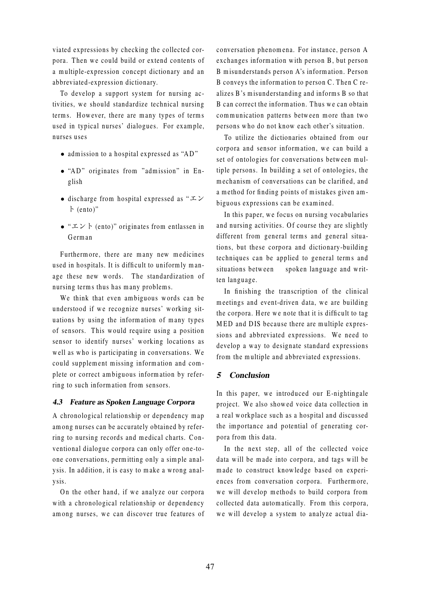viated expressions by checking the collected corpora. Then we could build or extend contents of a multiple-expression concept dictionary and an abbreviated-expression dictionary.

To develop a support system for nursing activities, we should standardize technical nursing term s. However, there are many types of terms used in typical nurses' dialogues. For example, nurses uses

- $\bullet$  admission to a hospital expressed as "AD"
- "AD" originates from "admission" in English
- discharge from hospital expressed as " $\Sigma$ ト (ento)"
- " $\pm \vee \vdash$  (ento)" originates from entlassen in G erm an

Furtherm ore, there are many new medicines used in hospitals. It is difficult to uniformly manage these new words. The standardization of nursing terms thus has many problems.

We think that even ambiguous words can be understood if we recognize nurses' working situations by using the information of many types of sensors. This would require using a position sensor to identify nurses' working locations as well as who is participating in conversations. We could supplement missing information and complete or correct ambiguous information by referring to such information from sensors.

## 4.3 Feature as Spoken Language Corpora

A chronological relation ship or dependency m ap among nurses can be accurately obtained by referring to nursing records and medical charts. Conventional dialogue corpora can only offer one-toone conversations, permitting only a simple analysis. In addition, it is easy to make a wrong analy sis.

On the other hand, if we analyze our corpora with a chronological relationship or dependency among nurses, we can discover true features of conversation phenom ena. For in stance, person A exchanges information with person B, but person B misunderstands person A's information. Person B conveys the information to person C. Then C realizes B's misunderstanding and informs B so that B can correct the information. Thus we can obtain communication patterns between more than two persons who do not know each other's situation.

To utilize the dictionaries obtained from our corpora and sensor information, we can build a set of ontologies for conversations between multiple persons. In building a set of ontologies, the mechanism of conversations can be clarified, and a method for finding points of mistakes given ambiguous expressions can be examined.

In this paper, we focus on nursing vocabularies and nursing activities. Of course they are slightly different from general terms and general situations, but these corpora and dictionary-building techniques can be applied to general terms and situations between spoken language and written language.

In finishing the tran scription of the clinical meetings and event-driven data, we are building the corpora. Here we note that it is difficult to tag MED and DIS because there are multiple expressions and abbreviated expressions. We need to develop a way to designate standard expressions from the multiple and abbreviated expressions.

## 5 Conclusion

In this paper, we introduced our E-nightingale project. We also show ed voice data collection in a real workplace such as a hospital and discussed the im portance and potential of generating corpora from this data.

In the next step, all of the collected voice data will be made into corpora, and tags will be m ade to con struct know ledge ba sed on experiences from conversation corpora. Furthermore, we will develop methods to build corpora from collected data autom atically. From this corpora, we will develop a system to analyze actual dia